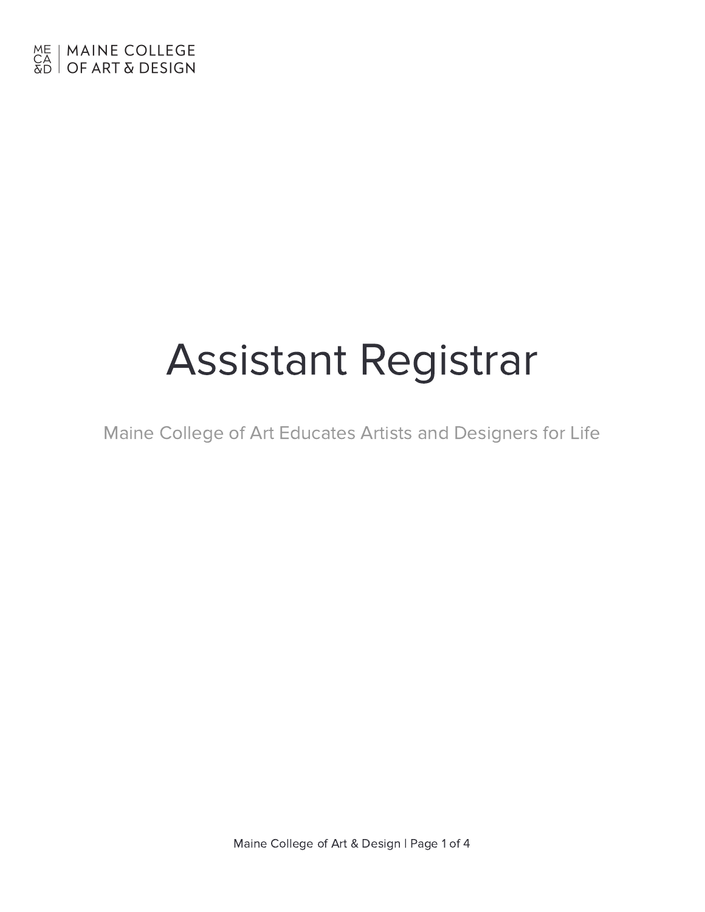# Assistant Registrar

Maine College of Art Educates Artists and Designers for Life

Maine College of Art & Design | Page 1 of 4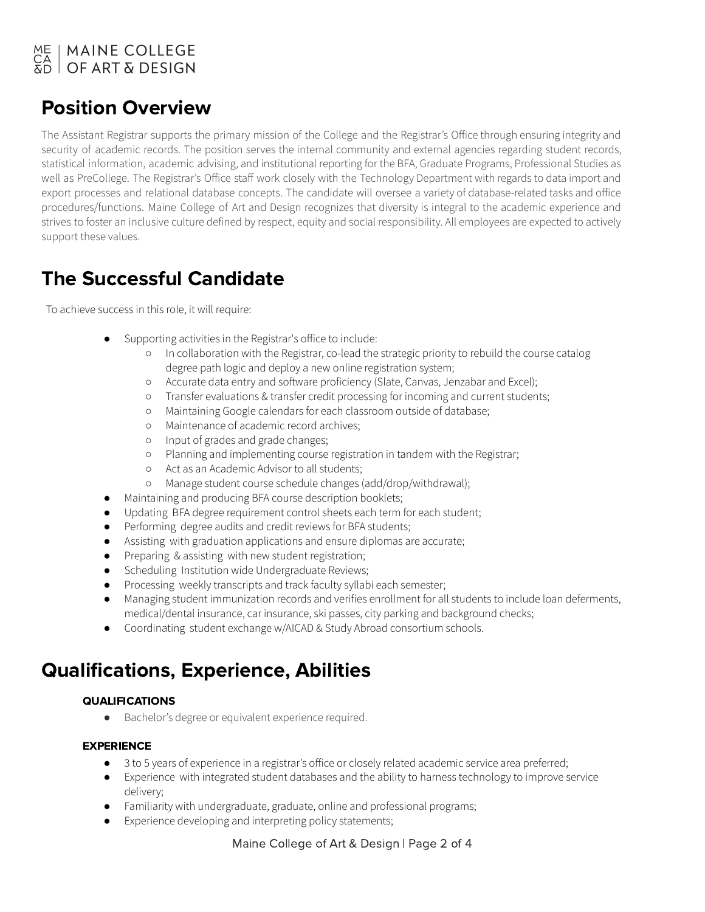## ME | MAINE COLLEGE<br>CA | OF ART & DESIGN

## Position Overview

The Assistant Registrar supports the primary mission of the College and the Registrar's Office through ensuring integrity and security of academic records. The position serves the internal community and external agencies regarding student records, statistical information, academic advising, and institutional reporting for the BFA, Graduate Programs, Professional Studies as well as PreCollege. The Registrar's Office staff work closely with the Technology Department with regards to data import and export processes and relational database concepts. The candidate will oversee a variety of database-related tasks and office procedures/functions. Maine College of Art and Design recognizes that diversity is integral to the academic experience and strives to foster an inclusive culture defined by respect, equity and social responsibility. All employees are expected to actively support these values.

## The Successful Candidate

To achieve success in this role, it will require:

- Supporting activities in the Registrar's office to include:
	- In collaboration with the Registrar, co-lead the strategic priority to rebuild the course catalog degree path logic and deploy a new online registration system;
	- o Accurate data entry and software proficiency (Slate, Canvas, Jenzabar and Excel);
	- Transfer evaluations & transfer credit processing for incoming and current students;
	- Maintaining Google calendars for each classroom outside of database;
	- Maintenance of academic record archives;
	- Input of grades and grade changes;
	- Planning and implementing course registration in tandem with the Registrar;
	- Act as an Academic Advisor to all students;
	- Manage student course schedule changes (add/drop/withdrawal);
- Maintaining and producing BFA course description booklets;
- Updating BFA degree requirement control sheets each term for each student;
- Performing degree audits and credit reviews for BFA students;
- Assisting with graduation applications and ensure diplomas are accurate;
- Preparing & assisting with new student registration;
- Scheduling Institution wide Undergraduate Reviews;
- Processing weekly transcripts and track faculty syllabi each semester;
- Managing student immunization records and verifies enrollment for all students to include loan deferments, medical/dental insurance, car insurance, ski passes, city parking and background checks;
- Coordinating student exchange w/AICAD & Study Abroad consortium schools.

## Qualifications, Experience, Abilities

## QUALIFICATIONS

● Bachelor's degree or equivalent experience required.

## EXPERIENCE

- 3 to 5 years of experience in a registrar's office or closely related academic service area preferred;
- Experience with integrated student databases and the ability to harness technology to improve service delivery;
- Familiarity with undergraduate, graduate, online and professional programs;
- Experience developing and interpreting policy statements;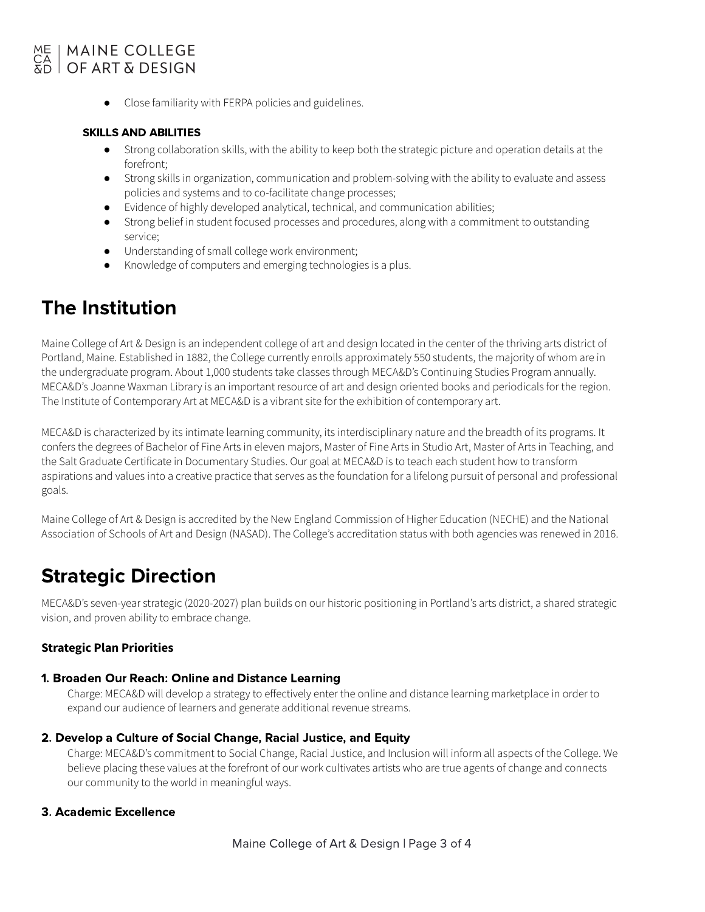## | MAINE COLLEGE  $OCART$  $DESIGN$

● Close familiarity with FERPA policies and guidelines.

#### SKILLS AND ABILITIES

- Strong collaboration skills, with the ability to keep both the strategic picture and operation details at the forefront;
- Strong skills in organization, communication and problem-solving with the ability to evaluate and assess policies and systems and to co-facilitate change processes;
- Evidence of highly developed analytical, technical, and communication abilities;
- Strong belief in student focused processes and procedures, along with a commitment to outstanding service;
- Understanding of small college work environment;
- Knowledge of computers and emerging technologies is a plus.

## The Institution

Maine College of Art & Design is an independent college of art and design located in the center of the thriving arts district of Portland, Maine. Established in 1882, the College currently enrolls approximately 550 students, the majority of whom are in the undergraduate program. About 1,000 students take classes through MECA&D's Continuing Studies Program annually. MECA&D's Joanne Waxman Library is an important resource of art and design oriented books and periodicals for the region. The Institute of Contemporary Art at MECA&D is a vibrant site for the exhibition of contemporary art.

MECA&D is characterized by its intimate learning community, its interdisciplinary nature and the breadth of its programs. It confers the degrees of Bachelor of Fine Arts in eleven majors, Master of Fine Arts in Studio Art, Master of Arts in Teaching, and the Salt Graduate Certificate in Documentary Studies. Our goal at MECA&D is to teach each student how to transform aspirations and values into a creative practice that serves as the foundation for a lifelong pursuit of personal and professional goals.

Maine College of Art & Design is accredited by the New England Commission of Higher Education (NECHE) and the National Association of Schools of Art and Design (NASAD). The College's accreditation status with both agencies was renewed in 2016.

## Strategic Direction

MECA&D's seven-year strategic (2020-2027) plan builds on our historic positioning in Portland's arts district, a shared strategic vision, and proven ability to embrace change.

#### **Strategic Plan Priorities**

#### 1. Broaden Our Reach: Online and Distance Learning

Charge: MECA&D will develop a strategy to effectively enter the online and distance learning marketplace in order to expand our audience of learners and generate additional revenue streams.

#### 2. Develop a Culture of Social Change, Racial Justice, and Equity

Charge: MECA&D's commitment to Social Change, Racial Justice, and Inclusion will inform all aspects of the College. We believe placing these values at the forefront of our work cultivates artists who are true agents of change and connects our community to the world in meaningful ways.

#### 3. Academic Excellence